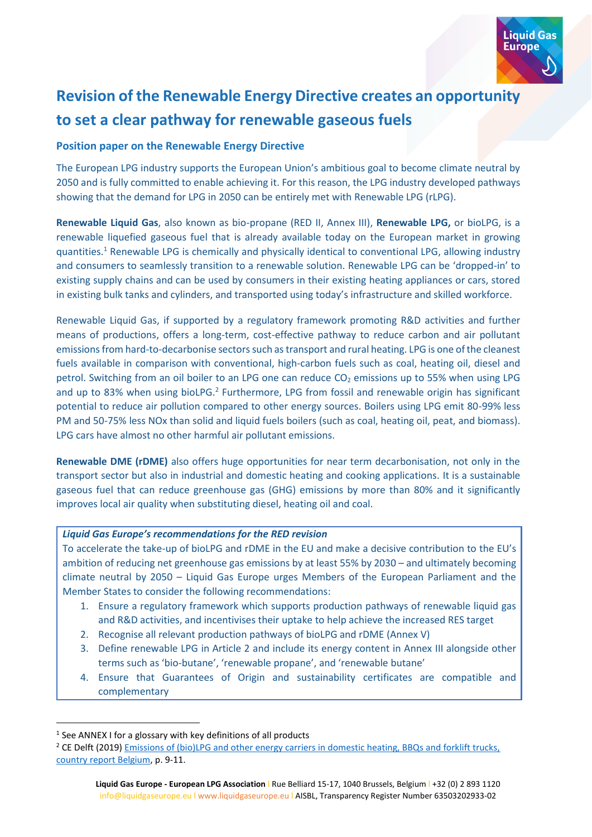

# **Revision of the Renewable Energy Directive creates an opportunity to set a clear pathway for renewable gaseous fuels**

### **Position paper on the Renewable Energy Directive**

The European LPG industry supports the European Union's ambitious goal to become climate neutral by 2050 and is fully committed to enable achieving it. For this reason, the LPG industry developed pathways showing that the demand for LPG in 2050 can be entirely met with Renewable LPG (rLPG).

**Renewable Liquid Gas**, also known as bio-propane (RED II, Annex III), **Renewable LPG,** or bioLPG, is a renewable liquefied gaseous fuel that is already available today on the European market in growing quantities. <sup>1</sup> Renewable LPG is chemically and physically identical to conventional LPG, allowing industry and consumers to seamlessly transition to a renewable solution. Renewable LPG can be 'dropped-in' to existing supply chains and can be used by consumers in their existing heating appliances or cars, stored in existing bulk tanks and cylinders, and transported using today's infrastructure and skilled workforce.

Renewable Liquid Gas, if supported by a regulatory framework promoting R&D activities and further means of productions, offers a long-term, cost-effective pathway to reduce carbon and air pollutant emissions from hard-to-decarbonise sectors such as transport and rural heating. LPG is one of the cleanest fuels available in comparison with conventional, high-carbon fuels such as coal, heating oil, diesel and petrol. Switching from an oil boiler to an LPG one can reduce  $CO<sub>2</sub>$  emissions up to 55% when using LPG and up to 83% when using bioLPG.<sup>2</sup> Furthermore, LPG from fossil and renewable origin has significant potential to reduce air pollution compared to other energy sources. Boilers using LPG emit 80-99% less PM and 50-75% less NOx than solid and liquid fuels boilers (such as coal, heating oil, peat, and biomass). LPG cars have almost no other harmful air pollutant emissions.

**Renewable DME (rDME)** also offers huge opportunities for near term decarbonisation, not only in the transport sector but also in industrial and domestic heating and cooking applications. It is a sustainable gaseous fuel that can reduce greenhouse gas (GHG) emissions by more than 80% and it significantly improves local air quality when substituting diesel, heating oil and coal.

### *Liquid Gas Europe's recommendations for the RED revision*

To accelerate the take-up of bioLPG and rDME in the EU and make a decisive contribution to the EU's ambition of reducing net greenhouse gas emissions by at least 55% by 2030 – and ultimately becoming climate neutral by 2050 – Liquid Gas Europe urges Members of the European Parliament and the Member States to consider the following recommendations:

- 1. Ensure a regulatory framework which supports production pathways of renewable liquid gas and R&D activities, and incentivises their uptake to help achieve the increased RES target
- 2. Recognise all relevant production pathways of bioLPG and rDME (Annex V)
- 3. Define renewable LPG in Article 2 and include its energy content in Annex III alongside other terms such as 'bio-butane', 'renewable propane', and 'renewable butane'
- 4. Ensure that Guarantees of Origin and sustainability certificates are compatible and complementary

<sup>&</sup>lt;sup>1</sup> See ANNEX I for a glossary with key definitions of all products

<sup>&</sup>lt;sup>2</sup> CE Delft (2019) Emissions of (bio)LPG and other energy carriers in domestic heating, BBQs and forklift trucks, [country report Belgium,](https://cedelft.eu/publications/emissions-of-biolpg-and-other-energy-carriers-in-domestic-heating-bbqs-and-forklift-trucks-country-report-belgium/) p. 9-11.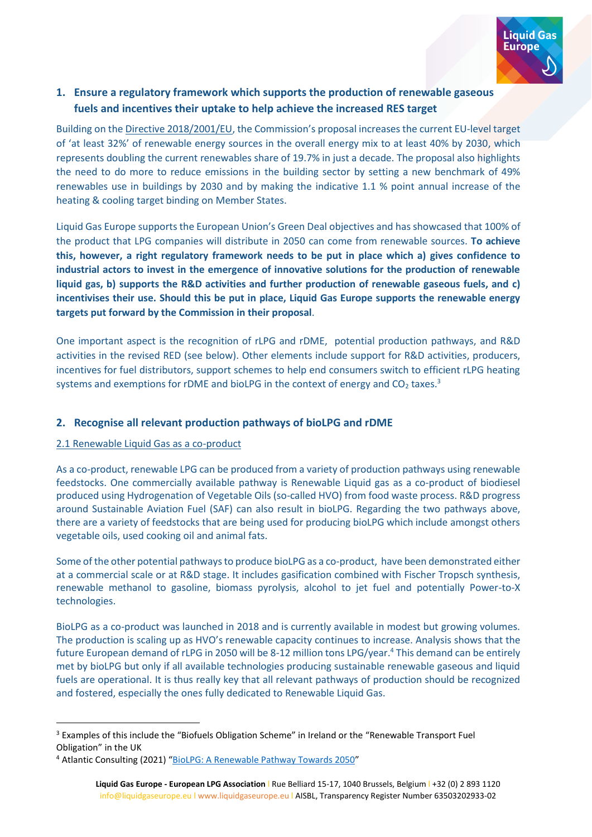

# **1. Ensure a regulatory framework which supports the production of renewable gaseous fuels and incentives their uptake to help achieve the increased RES target**

Building on the [Directive 2018/2001/EU](https://eur-lex.europa.eu/legal-content/EN/TXT/?uri=uriserv:OJ.L_.2018.328.01.0082.01.ENG&toc=OJ:L:2018:328:TOC), the Commission's proposal increases the current EU-level target of 'at least 32%' of renewable energy sources in the overall energy mix to at least 40% by 2030, which represents doubling the current renewables share of 19.7% in just a decade. The proposal also highlights the need to do more to reduce emissions in the building sector by setting a new benchmark of 49% renewables use in buildings by 2030 and by making the indicative 1.1 % point annual increase of the heating & cooling target binding on Member States.

Liquid Gas Europe supports the European Union's Green Deal objectives and has showcased that 100% of the product that LPG companies will distribute in 2050 can come from renewable sources. **To achieve this, however, a right regulatory framework needs to be put in place which a) gives confidence to industrial actors to invest in the emergence of innovative solutions for the production of renewable liquid gas, b) supports the R&D activities and further production of renewable gaseous fuels, and c) incentivises their use. Should this be put in place, Liquid Gas Europe supports the renewable energy targets put forward by the Commission in their proposal**.

One important aspect is the recognition of rLPG and rDME, potential production pathways, and R&D activities in the revised RED (see below). Other elements include support for R&D activities, producers, incentives for fuel distributors, support schemes to help end consumers switch to efficient rLPG heating systems and exemptions for rDME and bioLPG in the context of energy and  $CO<sub>2</sub>$  taxes.<sup>3</sup>

### **2. Recognise all relevant production pathways of bioLPG and rDME**

### 2.1 Renewable Liquid Gas as a co-product

As a co-product, renewable LPG can be produced from a variety of production pathways using renewable feedstocks. One commercially available pathway is Renewable Liquid gas as a co-product of biodiesel produced using Hydrogenation of Vegetable Oils (so-called HVO) from food waste process. R&D progress around Sustainable Aviation Fuel (SAF) can also result in bioLPG. Regarding the two pathways above, there are a variety of feedstocks that are being used for producing bioLPG which include amongst others vegetable oils, used cooking oil and animal fats.

Some of the other potential pathwaysto produce bioLPG as a co-product, have been demonstrated either at a commercial scale or at R&D stage. It includes gasification combined with Fischer Tropsch synthesis, renewable methanol to gasoline, biomass pyrolysis, alcohol to jet fuel and potentially Power-to-X technologies.

BioLPG as a co-product was launched in 2018 and is currently available in modest but growing volumes. The production is scaling up as HVO's renewable capacity continues to increase. Analysis shows that the future European demand of rLPG in 2050 will be 8-12 million tons LPG/year.<sup>4</sup> This demand can be entirely met by bioLPG but only if all available technologies producing sustainable renewable gaseous and liquid fuels are operational. It is thus really key that all relevant pathways of production should be recognized and fostered, especially the ones fully dedicated to Renewable Liquid Gas.

<sup>&</sup>lt;sup>3</sup> Examples of this include the "Biofuels Obligation Scheme" in Ireland or the "Renewable Transport Fuel Obligation" in the UK

<sup>4</sup> Atlantic Consulting (2021) "[BioLPG: A Renewable Pathway Towards 2050](https://mailchi.mp/51d4353b7873/downloadstudy-biolpg2050?utm_source=email&utm_medium=social&utm_campaign=biolpg)"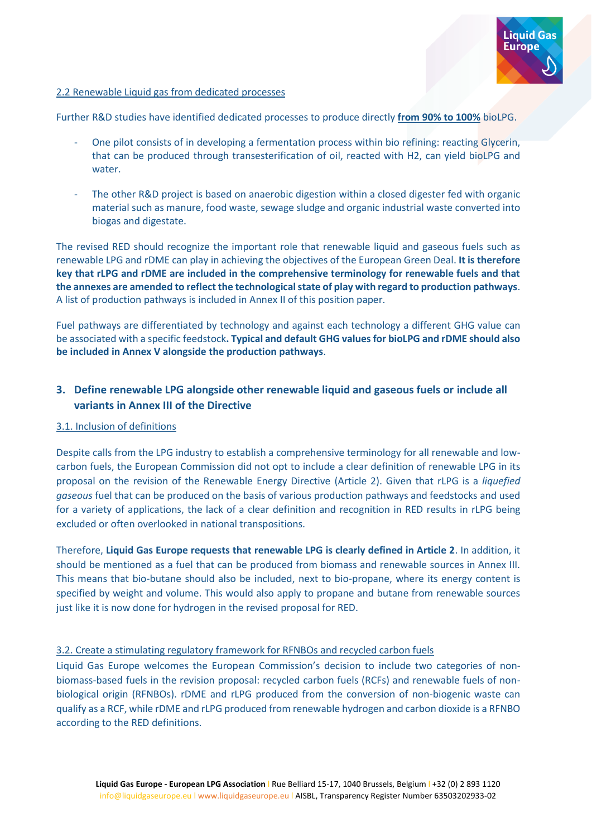

### 2.2 Renewable Liquid gas from dedicated processes

Further R&D studies have identified dedicated processes to produce directly **from 90% to 100%** bioLPG.

- One pilot consists of in developing a fermentation process within bio refining: reacting Glycerin, that can be produced through transesterification of oil, reacted with H2, can yield bioLPG and water.
- The other R&D project is based on anaerobic digestion within a closed digester fed with organic material such as manure, food waste, sewage sludge and organic industrial waste converted into biogas and digestate.

The revised RED should recognize the important role that renewable liquid and gaseous fuels such as renewable LPG and rDME can play in achieving the objectives of the European Green Deal. **It is therefore key that rLPG and rDME are included in the comprehensive terminology for renewable fuels and that the annexes are amended to reflect the technological state of play with regard to production pathways**. A list of production pathways is included in Annex II of this position paper.

Fuel pathways are differentiated by technology and against each technology a different GHG value can be associated with a specific feedstock**. Typical and default GHG values for bioLPG and rDME should also be included in Annex V alongside the production pathways**.

# **3. Define renewable LPG alongside other renewable liquid and gaseous fuels or include all variants in Annex III of the Directive**

### 3.1. Inclusion of definitions

Despite calls from the LPG industry to establish a comprehensive terminology for all renewable and lowcarbon fuels, the European Commission did not opt to include a clear definition of renewable LPG in its proposal on the revision of the Renewable Energy Directive (Article 2). Given that rLPG is a *liquefied gaseous* fuel that can be produced on the basis of various production pathways and feedstocks and used for a variety of applications, the lack of a clear definition and recognition in RED results in rLPG being excluded or often overlooked in national transpositions.

Therefore, **Liquid Gas Europe requests that renewable LPG is clearly defined in Article 2**. In addition, it should be mentioned as a fuel that can be produced from biomass and renewable sources in Annex III. This means that bio-butane should also be included, next to bio-propane, where its energy content is specified by weight and volume. This would also apply to propane and butane from renewable sources just like it is now done for hydrogen in the revised proposal for RED.

### 3.2. Create a stimulating regulatory framework for RFNBOs and recycled carbon fuels

Liquid Gas Europe welcomes the European Commission's decision to include two categories of nonbiomass-based fuels in the revision proposal: recycled carbon fuels (RCFs) and renewable fuels of nonbiological origin (RFNBOs). rDME and rLPG produced from the conversion of non-biogenic waste can qualify as a RCF, while rDME and rLPG produced from renewable hydrogen and carbon dioxide is a RFNBO according to the RED definitions.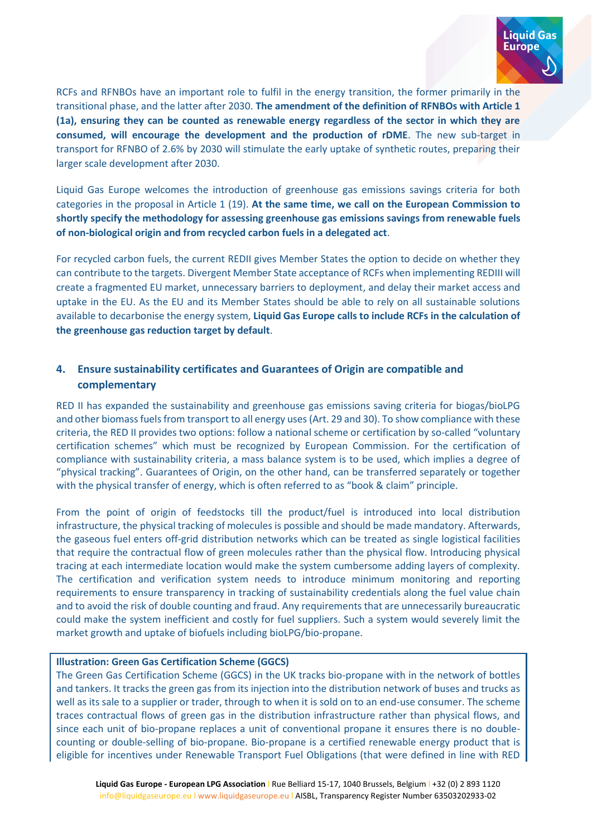

RCFs and RFNBOs have an important role to fulfil in the energy transition, the former primarily in the transitional phase, and the latter after 2030. **The amendment of the definition of RFNBOs with Article 1 (1a), ensuring they can be counted as renewable energy regardless of the sector in which they are consumed, will encourage the development and the production of rDME**. The new sub-target in transport for RFNBO of 2.6% by 2030 will stimulate the early uptake of synthetic routes, preparing their larger scale development after 2030.

Liquid Gas Europe welcomes the introduction of greenhouse gas emissions savings criteria for both categories in the proposal in Article 1 (19). **At the same time, we call on the European Commission to shortly specify the methodology for assessing greenhouse gas emissions savings from renewable fuels of non-biological origin and from recycled carbon fuels in a delegated act**.

For recycled carbon fuels, the current REDII gives Member States the option to decide on whether they can contribute to the targets. Divergent Member State acceptance of RCFs when implementing REDIII will create a fragmented EU market, unnecessary barriers to deployment, and delay their market access and uptake in the EU. As the EU and its Member States should be able to rely on all sustainable solutions available to decarbonise the energy system, **Liquid Gas Europe calls to include RCFs in the calculation of the greenhouse gas reduction target by default**.

# **4. Ensure sustainability certificates and Guarantees of Origin are compatible and complementary**

RED II has expanded the sustainability and greenhouse gas emissions saving criteria for biogas/bioLPG and other biomass fuels from transport to all energy uses (Art. 29 and 30). To show compliance with these criteria, the RED II provides two options: follow a national scheme or certification by so-called "voluntary certification schemes" which must be recognized by European Commission. For the certification of compliance with sustainability criteria, a mass balance system is to be used, which implies a degree of "physical tracking". Guarantees of Origin, on the other hand, can be transferred separately or together with the physical transfer of energy, which is often referred to as "book & claim" principle.

From the point of origin of feedstocks till the product/fuel is introduced into local distribution infrastructure, the physical tracking of molecules is possible and should be made mandatory. Afterwards, the gaseous fuel enters off-grid distribution networks which can be treated as single logistical facilities that require the contractual flow of green molecules rather than the physical flow. Introducing physical tracing at each intermediate location would make the system cumbersome adding layers of complexity. The certification and verification system needs to introduce minimum monitoring and reporting requirements to ensure transparency in tracking of sustainability credentials along the fuel value chain and to avoid the risk of double counting and fraud. Any requirements that are unnecessarily bureaucratic could make the system inefficient and costly for fuel suppliers. Such a system would severely limit the market growth and uptake of biofuels including bioLPG/bio-propane.

### **Illustration: Green Gas Certification Scheme (GGCS)**

The Green Gas Certification Scheme (GGCS) in the UK tracks bio-propane with in the network of bottles and tankers. It tracks the green gas from its injection into the distribution network of buses and trucks as well as its sale to a supplier or trader, through to when it is sold on to an end-use consumer. The scheme traces contractual flows of green gas in the distribution infrastructure rather than physical flows, and since each unit of bio-propane replaces a unit of conventional propane it ensures there is no doublecounting or double-selling of bio-propane. Bio-propane is a certified renewable energy product that is eligible for incentives under Renewable Transport Fuel Obligations (that were defined in line with RED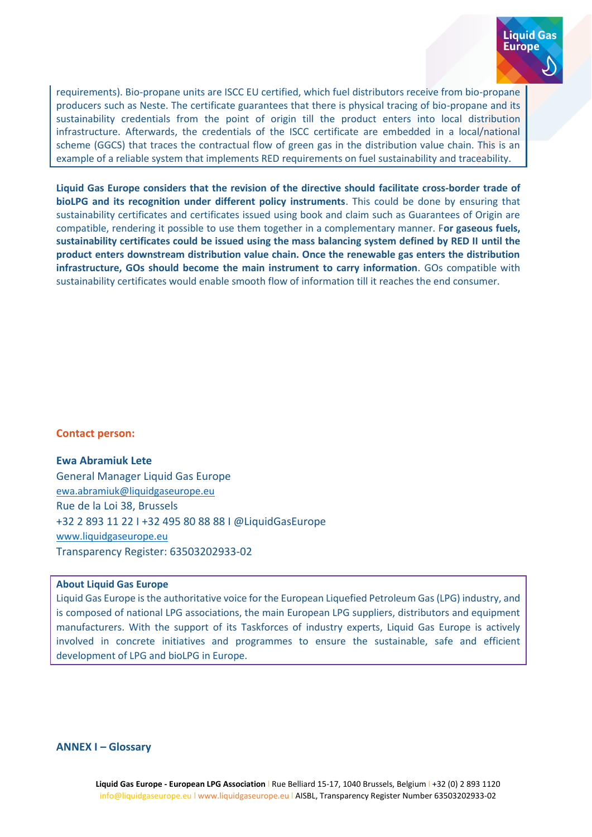

requirements). Bio-propane units are ISCC EU certified, which fuel distributors receive from bio-propane producers such as Neste. The certificate guarantees that there is physical tracing of bio-propane and its sustainability credentials from the point of origin till the product enters into local distribution infrastructure. Afterwards, the credentials of the ISCC certificate are embedded in a local/national scheme (GGCS) that traces the contractual flow of green gas in the distribution value chain. This is an example of a reliable system that implements RED requirements on fuel sustainability and traceability.

**Liquid Gas Europe considers that the revision of the directive should facilitate cross-border trade of bioLPG and its recognition under different policy instruments**. This could be done by ensuring that sustainability certificates and certificates issued using book and claim such as Guarantees of Origin are compatible, rendering it possible to use them together in a complementary manner. F**or gaseous fuels, sustainability certificates could be issued using the mass balancing system defined by RED II until the product enters downstream distribution value chain. Once the renewable gas enters the distribution infrastructure, GOs should become the main instrument to carry information**. GOs compatible with sustainability certificates would enable smooth flow of information till it reaches the end consumer.

### **Contact person:**

#### **Ewa Abramiuk Lete**

General Manager Liquid Gas Europe [ewa.abramiuk@liquidgaseurope.eu](mailto:ewa.abramiuk@liquidgaseurope.eu) Rue de la Loi 38, Brussels +32 2 893 11 22 I +32 495 80 88 88 I @LiquidGasEurope [www.liquidgaseurope.eu](http://www.liquidgaseurope.eu/) Transparency Register: 63503202933-02

### **About Liquid Gas Europe**

Liquid Gas Europe is the authoritative voice for the European Liquefied Petroleum Gas (LPG) industry, and is composed of national LPG associations, the main European LPG suppliers, distributors and equipment manufacturers. With the support of its Taskforces of industry experts, Liquid Gas Europe is actively involved in concrete initiatives and programmes to ensure the sustainable, safe and efficient development of LPG and bioLPG in Europe.

### **ANNEX I – Glossary**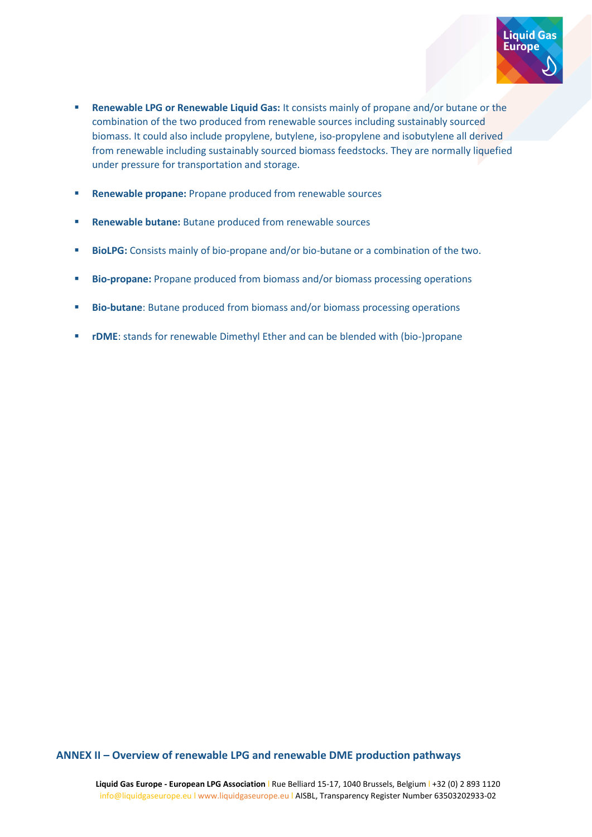

- **EXERCITE 20 IN A Renewable Liquid Gas: It consists mainly of propane and/or butane or the** combination of the two produced from renewable sources including sustainably sourced biomass. It could also include propylene, butylene, iso-propylene and isobutylene all derived from renewable including sustainably sourced biomass feedstocks. They are normally liquefied under pressure for transportation and storage.
- **Renewable propane:** Propane produced from renewable sources
- **Renewable butane:** Butane produced from renewable sources
- **E** BioLPG: Consists mainly of bio-propane and/or bio-butane or a combination of the two.
- **Bio-propane:** Propane produced from biomass and/or biomass processing operations
- **E** Bio-butane: Butane produced from biomass and/or biomass processing operations
- **rDME**: stands for renewable Dimethyl Ether and can be blended with (bio-)propane

### **ANNEX II – Overview of renewable LPG and renewable DME production pathways**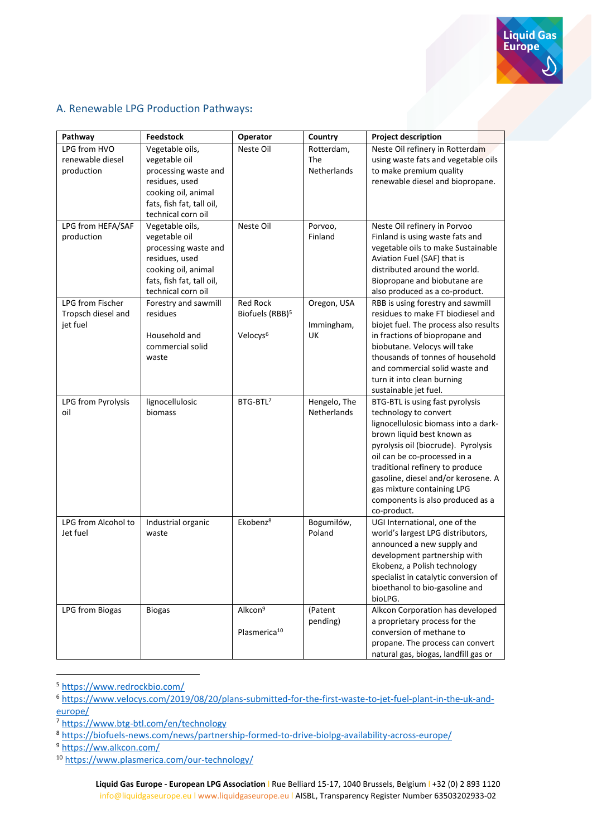

## A. Renewable LPG Production Pathways**:**

| Pathway             | <b>Feedstock</b>          | Operator                    | Country            | <b>Project description</b>                                       |
|---------------------|---------------------------|-----------------------------|--------------------|------------------------------------------------------------------|
| LPG from HVO        | Vegetable oils,           | Neste Oil                   | Rotterdam,         | Neste Oil refinery in Rotterdam                                  |
| renewable diesel    | vegetable oil             |                             | The                | using waste fats and vegetable oils                              |
| production          | processing waste and      |                             | Netherlands        | to make premium quality                                          |
|                     | residues, used            |                             |                    | renewable diesel and biopropane.                                 |
|                     | cooking oil, animal       |                             |                    |                                                                  |
|                     | fats, fish fat, tall oil, |                             |                    |                                                                  |
|                     | technical corn oil        |                             |                    |                                                                  |
| LPG from HEFA/SAF   | Vegetable oils,           | Neste Oil                   | Porvoo,            | Neste Oil refinery in Porvoo                                     |
| production          | vegetable oil             |                             | Finland            | Finland is using waste fats and                                  |
|                     | processing waste and      |                             |                    | vegetable oils to make Sustainable                               |
|                     | residues, used            |                             |                    | Aviation Fuel (SAF) that is                                      |
|                     | cooking oil, animal       |                             |                    | distributed around the world.                                    |
|                     | fats, fish fat, tall oil, |                             |                    | Biopropane and biobutane are                                     |
|                     | technical corn oil        |                             |                    | also produced as a co-product.                                   |
| LPG from Fischer    | Forestry and sawmill      | <b>Red Rock</b>             | Oregon, USA        | RBB is using forestry and sawmill                                |
| Tropsch diesel and  | residues                  | Biofuels (RBB) <sup>5</sup> |                    | residues to make FT biodiesel and                                |
| jet fuel            |                           |                             | Immingham,         | biojet fuel. The process also results                            |
|                     | Household and             | Velocys <sup>6</sup>        | UK                 | in fractions of biopropane and                                   |
|                     | commercial solid          |                             |                    | biobutane. Velocys will take<br>thousands of tonnes of household |
|                     | waste                     |                             |                    | and commercial solid waste and                                   |
|                     |                           |                             |                    | turn it into clean burning                                       |
|                     |                           |                             |                    | sustainable jet fuel.                                            |
| LPG from Pyrolysis  | lignocellulosic           | BTG-BTL <sup>7</sup>        | Hengelo, The       | BTG-BTL is using fast pyrolysis                                  |
| oil                 | biomass                   |                             | <b>Netherlands</b> | technology to convert                                            |
|                     |                           |                             |                    | lignocellulosic biomass into a dark-                             |
|                     |                           |                             |                    | brown liquid best known as                                       |
|                     |                           |                             |                    | pyrolysis oil (biocrude). Pyrolysis                              |
|                     |                           |                             |                    | oil can be co-processed in a                                     |
|                     |                           |                             |                    | traditional refinery to produce                                  |
|                     |                           |                             |                    | gasoline, diesel and/or kerosene. A                              |
|                     |                           |                             |                    | gas mixture containing LPG                                       |
|                     |                           |                             |                    | components is also produced as a                                 |
|                     |                           |                             |                    | co-product.                                                      |
| LPG from Alcohol to | Industrial organic        | Ekobenz <sup>8</sup>        | Bogumiłów,         | UGI International, one of the                                    |
| Jet fuel            | waste                     |                             | Poland             | world's largest LPG distributors,                                |
|                     |                           |                             |                    | announced a new supply and                                       |
|                     |                           |                             |                    | development partnership with                                     |
|                     |                           |                             |                    | Ekobenz, a Polish technology                                     |
|                     |                           |                             |                    | specialist in catalytic conversion of                            |
|                     |                           |                             |                    | bioethanol to bio-gasoline and                                   |
|                     |                           |                             |                    | bioLPG.                                                          |
| LPG from Biogas     | <b>Biogas</b>             | Alkcon <sup>9</sup>         | (Patent            | Alkcon Corporation has developed                                 |
|                     |                           |                             | pending)           | a proprietary process for the                                    |
|                     |                           | Plasmerica <sup>10</sup>    |                    | conversion of methane to                                         |
|                     |                           |                             |                    | propane. The process can convert                                 |
|                     |                           |                             |                    | natural gas, biogas, landfill gas or                             |

<sup>5</sup> <https://www.redrockbio.com/>

<sup>9</sup> <https://ww.alkcon.com/>

<sup>6</sup> [https://www.velocys.com/2019/08/20/plans-submitted-for-the-first-waste-to-jet-fuel-plant-in-the-uk-and](https://www.velocys.com/2019/08/20/plans-submitted-for-the-first-waste-to-jet-fuel-plant-in-the-uk-and-europe/)[europe/](https://www.velocys.com/2019/08/20/plans-submitted-for-the-first-waste-to-jet-fuel-plant-in-the-uk-and-europe/)

<sup>7</sup> <https://www.btg-btl.com/en/technology>

<sup>8</sup> <https://biofuels-news.com/news/partnership-formed-to-drive-biolpg-availability-across-europe/>

<sup>10</sup> <https://www.plasmerica.com/our-technology/>